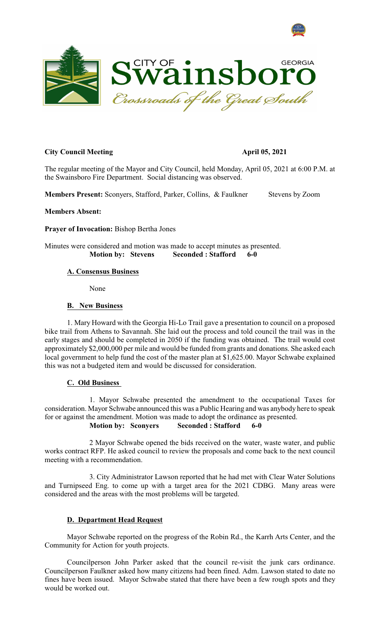



#### **City Council Meeting April 05, 2021**

The regular meeting of the Mayor and City Council, held Monday, April 05, 2021 at 6:00 P.M. at the Swainsboro Fire Department. Social distancing was observed.

**Members Present:** Sconyers, Stafford, Parker, Collins, & Faulkner Stevens by Zoom

#### **Members Absent:**

**Prayer of Invocation:** Bishop Bertha Jones

Minutes were considered and motion was made to accept minutes as presented. **Motion by: Stevens Seconded : Stafford 6-0**

# **A. Consensus Business**

None

# **B. New Business**

1. Mary Howard with the Georgia Hi-Lo Trail gave a presentation to council on a proposed bike trail from Athens to Savannah. She laid out the process and told council the trail was in the early stages and should be completed in 2050 if the funding was obtained. The trail would cost approximately \$2,000,000 per mile and would be funded from grants and donations. She asked each local government to help fund the cost of the master plan at \$1,625.00. Mayor Schwabe explained this was not a budgeted item and would be discussed for consideration.

# **C. Old Business**

1. Mayor Schwabe presented the amendment to the occupational Taxes for consideration. Mayor Schwabe announced this was a Public Hearing and was anybody here to speak for or against the amendment. Motion was made to adopt the ordinance as presented. **Motion by: Sconyers Seconded : Stafford 6-0**

2 Mayor Schwabe opened the bids received on the water, waste water, and public works contract RFP. He asked council to review the proposals and come back to the next council meeting with a recommendation.

3. City Administrator Lawson reported that he had met with Clear Water Solutions and Turnipseed Eng. to come up with a target area for the 2021 CDBG. Many areas were considered and the areas with the most problems will be targeted.

# **D. Department Head Request**

Mayor Schwabe reported on the progress of the Robin Rd., the Karrh Arts Center, and the Community for Action for youth projects.

Councilperson John Parker asked that the council re-visit the junk cars ordinance. Councilperson Faulkner asked how many citizens had been fined. Adm. Lawson stated to date no fines have been issued. Mayor Schwabe stated that there have been a few rough spots and they would be worked out.